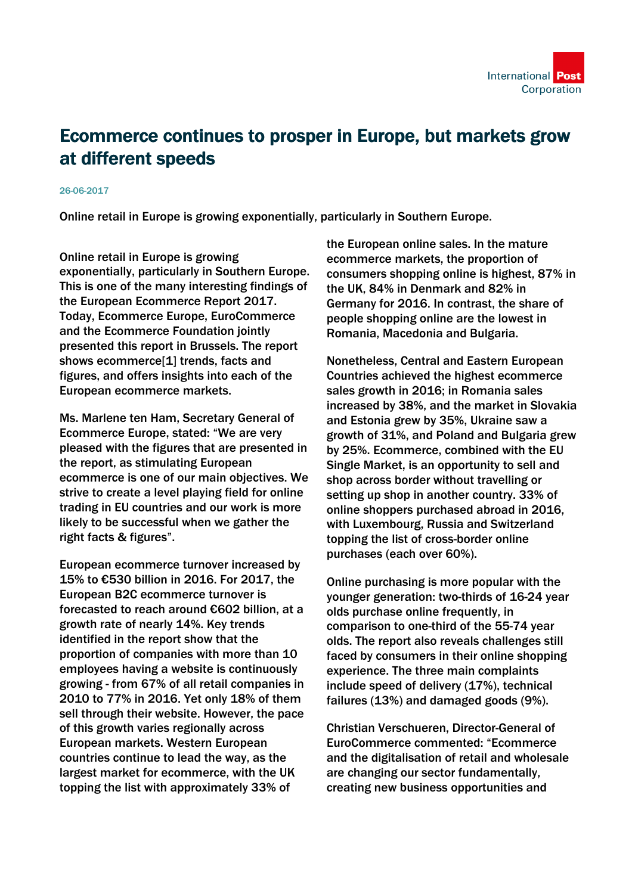

## Ecommerce continues to prosper in Europe, but markets grow at different speeds

## 26-06-2017

Online retail in Europe is growing exponentially, particularly in Southern Europe.

Online retail in Europe is growing exponentially, particularly in Southern Europe. This is one of the many interesting findings of the European Ecommerce Report 2017. Today, Ecommerce Europe, EuroCommerce and the Ecommerce Foundation jointly presented this report in Brussels. The report shows ecommerce[1] trends, facts and figures, and offers insights into each of the European ecommerce markets.

Ms. Marlene ten Ham, Secretary General of Ecommerce Europe, stated: "We are very pleased with the figures that are presented in the report, as stimulating European ecommerce is one of our main objectives. We strive to create a level playing field for online trading in EU countries and our work is more likely to be successful when we gather the right facts & figures".

European ecommerce turnover increased by 15% to €530 billion in 2016. For 2017, the European B2C ecommerce turnover is forecasted to reach around €602 billion, at a growth rate of nearly 14%. Key trends identified in the report show that the proportion of companies with more than 10 employees having a website is continuously growing - from 67% of all retail companies in 2010 to 77% in 2016. Yet only 18% of them sell through their website. However, the pace of this growth varies regionally across European markets. Western European countries continue to lead the way, as the largest market for ecommerce, with the UK topping the list with approximately 33% of

the European online sales. In the mature ecommerce markets, the proportion of consumers shopping online is highest, 87% in the UK, 84% in Denmark and 82% in Germany for 2016. In contrast, the share of people shopping online are the lowest in Romania, Macedonia and Bulgaria.

Nonetheless, Central and Eastern European Countries achieved the highest ecommerce sales growth in 2016; in Romania sales increased by 38%, and the market in Slovakia and Estonia grew by 35%, Ukraine saw a growth of 31%, and Poland and Bulgaria grew by 25%. Ecommerce, combined with the EU Single Market, is an opportunity to sell and shop across border without travelling or setting up shop in another country. 33% of online shoppers purchased abroad in 2016, with Luxembourg, Russia and Switzerland topping the list of cross-border online purchases (each over 60%).

Online purchasing is more popular with the younger generation: two-thirds of 16-24 year olds purchase online frequently, in comparison to one-third of the 55-74 year olds. The report also reveals challenges still faced by consumers in their online shopping experience. The three main complaints include speed of delivery (17%), technical failures (13%) and damaged goods (9%).

Christian Verschueren, Director-General of EuroCommerce commented: "Ecommerce and the digitalisation of retail and wholesale are changing our sector fundamentally, creating new business opportunities and